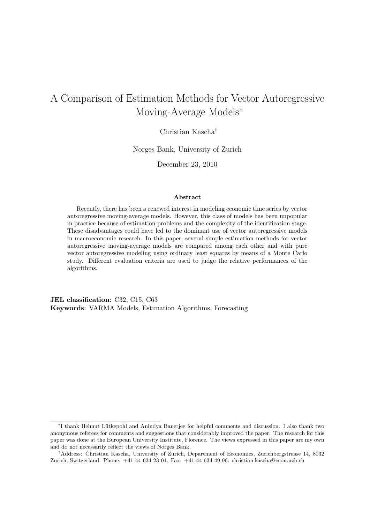# A Comparison of Estimation Methods for Vector Autoregressive Moving-Average Models*<sup>∗</sup>*

### Christian Kascha*†*

Norges Bank, University of Zurich

December 23, 2010

#### **Abstract**

Recently, there has been a renewed interest in modeling economic time series by vector autoregressive moving-average models. However, this class of models has been unpopular in practice because of estimation problems and the complexity of the identification stage. These disadvantages could have led to the dominant use of vector autoregressive models in macroeconomic research. In this paper, several simple estimation methods for vector autoregressive moving-average models are compared among each other and with pure vector autoregressive modeling using ordinary least squares by means of a Monte Carlo study. Different evaluation criteria are used to judge the relative performances of the algorithms.

**JEL classification**: C32, C15, C63 **Keywords**: VARMA Models, Estimation Algorithms, Forecasting

*<sup>∗</sup>* I thank Helmut L¨utkepohl and Anindya Banerjee for helpful comments and discussion. I also thank two anonymous referees for comments and suggestions that considerably improved the paper. The research for this paper was done at the European University Institute, Florence. The views expressed in this paper are my own and do not necessarily reflect the views of Norges Bank.

*<sup>†</sup>*Address: Christian Kascha, University of Zurich, Department of Economics, Zurichbergstrasse 14, 8032 Zurich, Switzerland. Phone: +41 44 634 23 01. Fax: +41 44 634 49 96. christian.kascha@econ.uzh.ch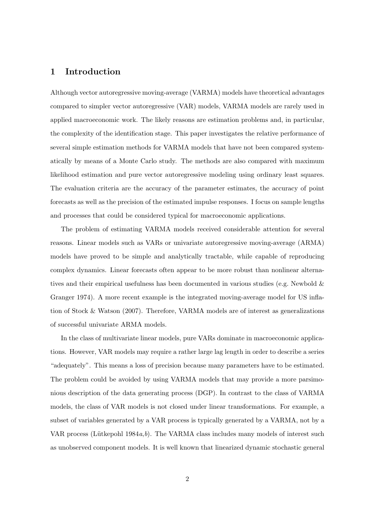# **1 Introduction**

Although vector autoregressive moving-average (VARMA) models have theoretical advantages compared to simpler vector autoregressive (VAR) models, VARMA models are rarely used in applied macroeconomic work. The likely reasons are estimation problems and, in particular, the complexity of the identification stage. This paper investigates the relative performance of several simple estimation methods for VARMA models that have not been compared systematically by means of a Monte Carlo study. The methods are also compared with maximum likelihood estimation and pure vector autoregressive modeling using ordinary least squares. The evaluation criteria are the accuracy of the parameter estimates, the accuracy of point forecasts as well as the precision of the estimated impulse responses. I focus on sample lengths and processes that could be considered typical for macroeconomic applications.

The problem of estimating VARMA models received considerable attention for several reasons. Linear models such as VARs or univariate autoregressive moving-average (ARMA) models have proved to be simple and analytically tractable, while capable of reproducing complex dynamics. Linear forecasts often appear to be more robust than nonlinear alternatives and their empirical usefulness has been documented in various studies (e.g. Newbold & Granger 1974). A more recent example is the integrated moving-average model for US inflation of Stock & Watson (2007). Therefore, VARMA models are of interest as generalizations of successful univariate ARMA models.

In the class of multivariate linear models, pure VARs dominate in macroeconomic applications. However, VAR models may require a rather large lag length in order to describe a series "adequately". This means a loss of precision because many parameters have to be estimated. The problem could be avoided by using VARMA models that may provide a more parsimonious description of the data generating process (DGP). In contrast to the class of VARMA models, the class of VAR models is not closed under linear transformations. For example, a subset of variables generated by a VAR process is typically generated by a VARMA, not by a VAR process (Lütkepohl 1984*a*,*b*). The VARMA class includes many models of interest such as unobserved component models. It is well known that linearized dynamic stochastic general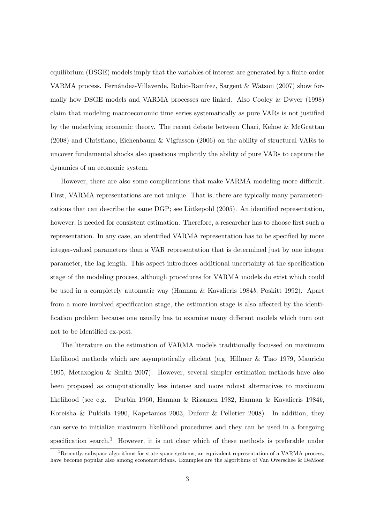equilibrium (DSGE) models imply that the variables of interest are generated by a finite-order VARMA process. Fernández-Villaverde, Rubio-Ramírez, Sargent & Watson  $(2007)$  show formally how DSGE models and VARMA processes are linked. Also Cooley & Dwyer (1998) claim that modeling macroeconomic time series systematically as pure VARs is not justified by the underlying economic theory. The recent debate between Chari, Kehoe & McGrattan (2008) and Christiano, Eichenbaum & Vigfusson (2006) on the ability of structural VARs to uncover fundamental shocks also questions implicitly the ability of pure VARs to capture the dynamics of an economic system.

However, there are also some complications that make VARMA modeling more difficult. First, VARMA representations are not unique. That is, there are typically many parameterizations that can describe the same DGP; see Lütkepohl  $(2005)$ . An identified representation, however, is needed for consistent estimation. Therefore, a researcher has to choose first such a representation. In any case, an identified VARMA representation has to be specified by more integer-valued parameters than a VAR representation that is determined just by one integer parameter, the lag length. This aspect introduces additional uncertainty at the specification stage of the modeling process, although procedures for VARMA models do exist which could be used in a completely automatic way (Hannan & Kavalieris 1984*b*, Poskitt 1992). Apart from a more involved specification stage, the estimation stage is also affected by the identification problem because one usually has to examine many different models which turn out not to be identified ex-post.

The literature on the estimation of VARMA models traditionally focussed on maximum likelihood methods which are asymptotically efficient (e.g. Hillmer & Tiao 1979, Mauricio 1995, Metaxoglou & Smith 2007). However, several simpler estimation methods have also been proposed as computationally less intense and more robust alternatives to maximum likelihood (see e.g. Durbin 1960, Hannan & Rissanen 1982, Hannan & Kavalieris 1984*b*, Koreisha & Pukkila 1990, Kapetanios 2003, Dufour & Pelletier 2008). In addition, they can serve to initialize maximum likelihood procedures and they can be used in a foregoing specification search.<sup>1</sup> However, it is not clear which of these methods is preferable under

<sup>1</sup>Recently, subspace algorithms for state space systems, an equivalent representation of a VARMA process, have become popular also among econometricians. Examples are the algorithms of Van Overschee & DeMoor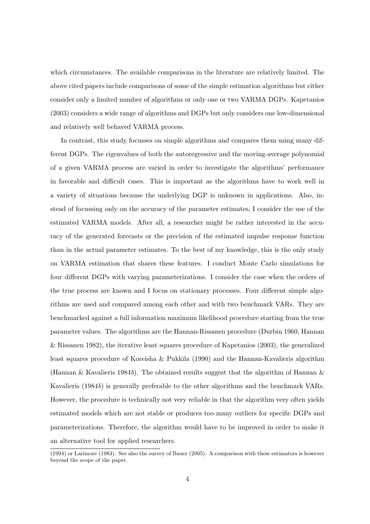which circumstances. The available comparisons in the literature are relatively limited. The above cited papers include comparisons of some of the simple estimation algorithms but either consider only a limited number of algorithms or only one or two VARMA DGPs. Kapetanios (2003) considers a wide range of algorithms and DGPs but only considers one low-dimensional and relatively well behaved VARMA process.

In contrast, this study focusses on simple algorithms and compares them using many different DGPs. The eigenvalues of both the autoregressive and the moving-average polynomial of a given VARMA process are varied in order to investigate the algorithms' performance in favorable and difficult cases. This is important as the algorithms have to work well in a variety of situations because the underlying DGP is unknown in applications. Also, instead of focussing only on the accuracy of the parameter estimates, I consider the use of the estimated VARMA models. After all, a researcher might be rather interested in the accuracy of the generated forecasts or the precision of the estimated impulse response function than in the actual parameter estimates. To the best of my knowledge, this is the only study on VARMA estimation that shares these features. I conduct Monte Carlo simulations for four different DGPs with varying parameterizations. I consider the case when the orders of the true process are known and I focus on stationary processes. Four different simple algorithms are used and compared among each other and with two benchmark VARs. They are benchmarked against a full information maximum likelihood procedure starting from the true parameter values. The algorithms are the Hannan-Rissanen procedure (Durbin 1960, Hannan & Rissanen 1982), the iterative least squares procedure of Kapetanios (2003), the generalized least squares procedure of Koreisha & Pukkila (1990) and the Hannan-Kavalieris algorithm (Hannan & Kavalieris 1984*b*). The obtained results suggest that the algorithm of Hannan & Kavalieris (1984*b*) is generally preferable to the other algorithms and the benchmark VARs. However, the procedure is technically not very reliable in that the algorithm very often yields estimated models which are not stable or produces too many outliers for specific DGPs and parameterizations. Therefore, the algorithm would have to be improved in order to make it an alternative tool for applied researchers.

<sup>(1994)</sup> or Larimore (1983). See also the survey of Bauer (2005). A comparison with these estimators is however beyond the scope of the paper.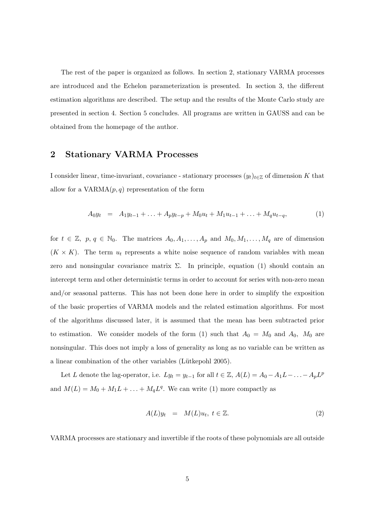The rest of the paper is organized as follows. In section 2, stationary VARMA processes are introduced and the Echelon parameterization is presented. In section 3, the different estimation algorithms are described. The setup and the results of the Monte Carlo study are presented in section 4. Section 5 concludes. All programs are written in GAUSS and can be obtained from the homepage of the author.

## **2 Stationary VARMA Processes**

I consider linear, time-invariant, covariance - stationary processes  $(y_t)_{t \in \mathbb{Z}}$  of dimension *K* that allow for a  $VARMA(p, q)$  representation of the form

$$
A_0 y_t = A_1 y_{t-1} + \ldots + A_p y_{t-p} + M_0 u_t + M_1 u_{t-1} + \ldots + M_q u_{t-q}, \tag{1}
$$

for  $t \in \mathbb{Z}$ ,  $p, q \in \mathbb{N}_0$ . The matrices  $A_0, A_1, \ldots, A_p$  and  $M_0, M_1, \ldots, M_q$  are of dimension  $(K \times K)$ . The term  $u_t$  represents a white noise sequence of random variables with mean zero and nonsingular covariance matrix  $\Sigma$ . In principle, equation (1) should contain an intercept term and other deterministic terms in order to account for series with non-zero mean and/or seasonal patterns. This has not been done here in order to simplify the exposition of the basic properties of VARMA models and the related estimation algorithms. For most of the algorithms discussed later, it is assumed that the mean has been subtracted prior to estimation. We consider models of the form (1) such that  $A_0 = M_0$  and  $A_0$ ,  $M_0$  are nonsingular. This does not imply a loss of generality as long as no variable can be written as a linear combination of the other variables (Lütkepohl 2005).

Let L denote the lag-operator, i.e.  $Ly_t = y_{t-1}$  for all  $t \in \mathbb{Z}$ ,  $A(L) = A_0 - A_1 L - \ldots - A_p L^p$ and  $M(L) = M_0 + M_1L + \ldots + M_qL^q$ . We can write (1) more compactly as

$$
A(L)y_t = M(L)u_t, t \in \mathbb{Z}.
$$
\n<sup>(2)</sup>

VARMA processes are stationary and invertible if the roots of these polynomials are all outside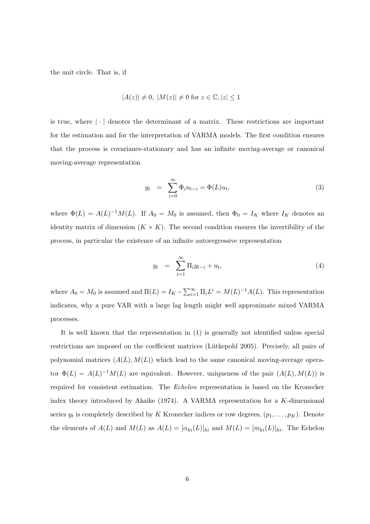the unit circle. That is, if

$$
|A(z)| \neq 0, |M(z)| \neq 0 \text{ for } z \in \mathbb{C}, |z| \leq 1
$$

is true, where *| · |* denotes the determinant of a matrix. These restrictions are important for the estimation and for the interpretation of VARMA models. The first condition ensures that the process is covariance-stationary and has an infinite moving-average or canonical moving-average representation

$$
y_t = \sum_{i=0}^{\infty} \Phi_i u_{t-i} = \Phi(L) u_t,
$$
\n(3)

where  $\Phi(L) = A(L)^{-1}M(L)$ . If  $A_0 = M_0$  is assumed, then  $\Phi_0 = I_K$  where  $I_K$  denotes an identity matrix of dimension  $(K \times K)$ . The second condition ensures the invertibility of the process, in particular the existence of an infinite autoregressive representation

$$
y_t = \sum_{i=1}^{\infty} \Pi_i y_{t-i} + u_t, \qquad (4)
$$

where  $A_0 = M_0$  is assumed and  $\Pi(L) = I_K - \sum_{i=1}^{\infty} \Pi_i L^i = M(L)^{-1} A(L)$ . This representation indicates, why a pure VAR with a large lag length might well approximate mixed VARMA processes.

It is well known that the representation in (1) is generally not identified unless special restrictions are imposed on the coefficient matrices (Lütkepohl 2005). Precisely, all pairs of polynomial matrices  $(A(L), M(L))$  which lead to the same canonical moving-average operator  $\Phi(L) = A(L)^{-1}M(L)$  are equivalent. However, uniqueness of the pair  $(A(L), M(L))$  is required for consistent estimation. The *Echelon* representation is based on the Kronecker index theory introduced by Akaike (1974). A VARMA representation for a *K*-dimensional series  $y_t$  is completely described by *K* Kronecker indices or row degrees,  $(p_1, \ldots, p_K)$ . Denote the elements of  $A(L)$  and  $M(L)$  as  $A(L) = [\alpha_{ki}(L)]_{ki}$  and  $M(L) = [m_{ki}(L)]_{ki}$ . The Echelon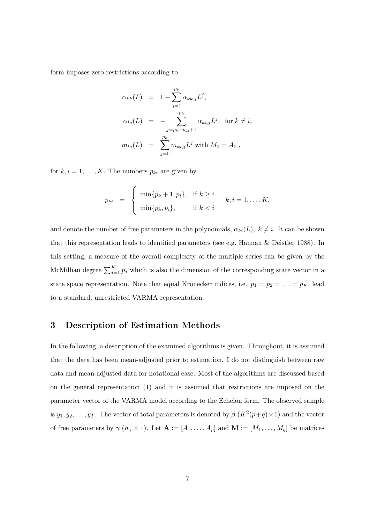form imposes zero-restrictions according to

$$
\alpha_{kk}(L) = 1 - \sum_{j=1}^{p_k} \alpha_{kk,j} L^j,
$$
  
\n
$$
\alpha_{ki}(L) = - \sum_{j=p_k-p_{ki}+1}^{p_k} \alpha_{ki,j} L^j, \text{ for } k \neq i,
$$
  
\n
$$
m_{ki}(L) = \sum_{j=0}^{p_k} m_{ki,j} L^j \text{ with } M_0 = A_0,
$$

for  $k, i = 1, \ldots, K$ . The numbers  $p_{ki}$  are given by

$$
p_{ki} = \begin{cases} \min\{p_k + 1, p_i\}, & \text{if } k \geq i \\ \min\{p_k, p_i\}, & \text{if } k < i \end{cases} k, i = 1, \dots, K,
$$

and denote the number of free parameters in the polynomials,  $\alpha_{ki}(L)$ ,  $k \neq i$ . It can be shown that this representation leads to identified parameters (see e.g. Hannan & Deistler 1988). In this setting, a measure of the overall complexity of the multiple series can be given by the McMillian degree  $\sum_{j=1}^{K} p_j$  which is also the dimension of the corresponding state vector in a state space representation. Note that equal Kronecker indices, i.e.  $p_1 = p_2 = \ldots = p_K$ , lead to a standard, unrestricted VARMA representation.

# **3 Description of Estimation Methods**

In the following, a description of the examined algorithms is given. Throughout, it is assumed that the data has been mean-adjusted prior to estimation. I do not distinguish between raw data and mean-adjusted data for notational ease. Most of the algorithms are discussed based on the general representation (1) and it is assumed that restrictions are imposed on the parameter vector of the VARMA model according to the Echelon form. The observed sample is  $y_1, y_2, \ldots, y_T$ . The vector of total parameters is denoted by  $\beta$  ( $K^2(p+q) \times 1$ ) and the vector of free parameters by  $\gamma$  ( $n_{\gamma} \times 1$ ). Let  $\mathbf{A} := [A_1, \ldots, A_p]$  and  $\mathbf{M} := [M_1, \ldots, M_q]$  be matrices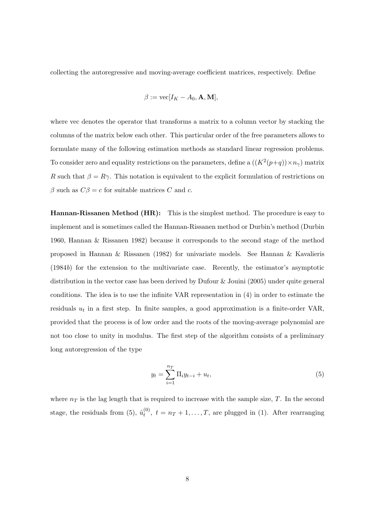collecting the autoregressive and moving-average coefficient matrices, respectively. Define

$$
\beta := \text{vec}[I_K - A_0, \mathbf{A}, \mathbf{M}],
$$

where vec denotes the operator that transforms a matrix to a column vector by stacking the columns of the matrix below each other. This particular order of the free parameters allows to formulate many of the following estimation methods as standard linear regression problems. To consider zero and equality restrictions on the parameters, define a  $((K^2(p+q)) \times n_\gamma)$  matrix *R* such that  $\beta = R\gamma$ . This notation is equivalent to the explicit formulation of restrictions on  $\beta$  such as  $C\beta = c$  for suitable matrices *C* and *c*.

**Hannan-Rissanen Method (HR):** This is the simplest method. The procedure is easy to implement and is sometimes called the Hannan-Rissanen method or Durbin's method (Durbin 1960, Hannan & Rissanen 1982) because it corresponds to the second stage of the method proposed in Hannan & Rissanen (1982) for univariate models. See Hannan & Kavalieris (1984*b*) for the extension to the multivariate case. Recently, the estimator's asymptotic distribution in the vector case has been derived by Dufour & Jouini (2005) under quite general conditions. The idea is to use the infinite VAR representation in (4) in order to estimate the residuals  $u_t$  in a first step. In finite samples, a good approximation is a finite-order VAR, provided that the process is of low order and the roots of the moving-average polynomial are not too close to unity in modulus. The first step of the algorithm consists of a preliminary long autoregression of the type

$$
y_t = \sum_{i=1}^{n_T} \Pi_i y_{t-i} + u_t,
$$
\n(5)

where  $n<sub>T</sub>$  is the lag length that is required to increase with the sample size, *T*. In the second stage, the residuals from  $(5)$ ,  $\hat{u}_t^{(0)}$  $t_t^{(0)}$ ,  $t = n_T + 1, \ldots, T$ , are plugged in (1). After rearranging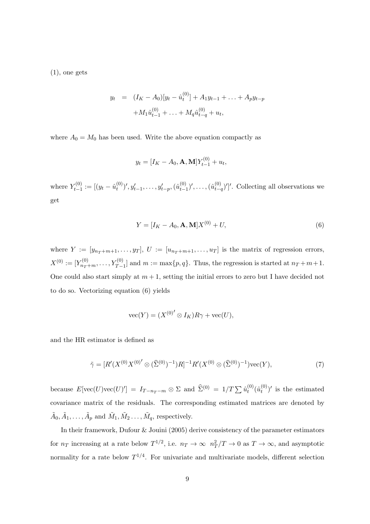$(1)$ , one gets

$$
y_t = (I_K - A_0)[y_t - \hat{u}_t^{(0)}] + A_1 y_{t-1} + \dots + A_p y_{t-p}
$$

$$
+ M_1 \hat{u}_{t-1}^{(0)} + \dots + M_q \hat{u}_{t-q}^{(0)} + u_t,
$$

where  $A_0 = M_0$  has been used. Write the above equation compactly as

$$
y_t = [I_K - A_0, \mathbf{A}, \mathbf{M}]Y_{t-1}^{(0)} + u_t,
$$

where  $Y_{t-1}^{(0)}$  $\tau_{t-1}^{(0)} := [(y_t - \hat{u}_t^{(0)})$  $y'$ ,  $y'_{t-1}, \ldots, y'_{t-p}, (\hat{u}_{t-p}^{(0)})$  $\hat{u}_{t-1}^{(0)}$ )', . . . , ( $\hat{u}_{t-1}^{(0)}$ *t−q* ) *′* ] *′* . Collecting all observations we get

$$
Y = [I_K - A_0, \mathbf{A}, \mathbf{M}]X^{(0)} + U,\tag{6}
$$

where  $Y := [y_{n_T+m+1}, \ldots, y_T]$ ,  $U := [u_{n_T+m+1}, \ldots, u_T]$  is the matrix of regression errors,  $X^{(0)} := [Y^{(0)}_{n_T+m}, \ldots, Y^{(0)}_{T-1}]$  and  $m := \max\{p, q\}$ . Thus, the regression is started at  $n_T + m + 1$ . One could also start simply at  $m + 1$ , setting the initial errors to zero but I have decided not to do so. Vectorizing equation (6) yields

$$
\text{vec}(Y) = (X^{(0)'} \otimes I_K)R\gamma + \text{vec}(U),
$$

and the HR estimator is defined as

$$
\tilde{\gamma} = [R'(X^{(0)}X^{(0)'} \otimes (\widehat{\Sigma}^{(0)})^{-1})R]^{-1}R'(X^{(0)} \otimes (\widehat{\Sigma}^{(0)})^{-1})\text{vec}(Y),\tag{7}
$$

because  $E[\text{vec}(U)\text{vec}(U)'] = I_{T-n_T-m} \otimes \Sigma$  and  $\hat{\Sigma}^{(0)} = 1/T \sum \hat{u}_t^{(0)}$  $\hat{u}^{(0)}_t(\hat{u}^{(0)}_t)$  $t_t^{(0)}$ <sup>*'*</sup> is the estimated covariance matrix of the residuals. The corresponding estimated matrices are denoted by  $\tilde{A}_0, \tilde{A}_1, \ldots, \tilde{A}_p$  and  $\tilde{M}_1, \tilde{M}_2, \ldots, \tilde{M}_q$ , respectively.

In their framework, Dufour & Jouini (2005) derive consistency of the parameter estimators for  $n_T$  increasing at a rate below  $T^{1/2}$ , i.e.  $n_T \to \infty$   $n_T^2/T \to 0$  as  $T \to \infty$ , and asymptotic normality for a rate below  $T^{1/4}$ . For univariate and multivariate models, different selection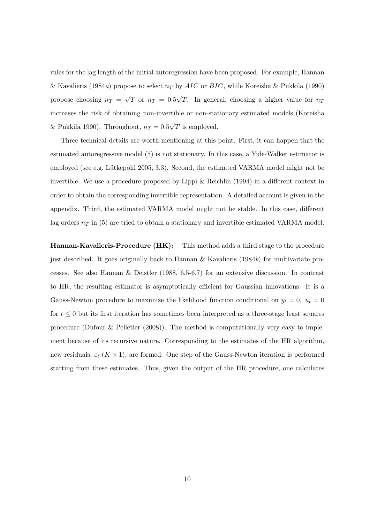rules for the lag length of the initial autoregression have been proposed. For example, Hannan & Kavalieris (1984*a*) propose to select  $n<sub>T</sub>$  by AIC or BIC, while Koreisha & Pukkila (1990) propose choosing  $n_T =$ *√*  $T \text{ or } n_T = 0.5$ *√ T*. In general, choosing a higher value for *n<sup>T</sup>* increases the risk of obtaining non-invertible or non-stationary estimated models (Koreisha & Pukkila 1990). Throughout,  $n_T = 0.5$ *√ T* is employed.

Three technical details are worth mentioning at this point. First, it can happen that the estimated autoregressive model (5) is not stationary. In this case, a Yule-Walker estimator is employed (see e.g. Lütkepohl 2005, 3.3). Second, the estimated VARMA model might not be invertible. We use a procedure proposed by Lippi & Reichlin (1994) in a different context in order to obtain the corresponding invertible representation. A detailed account is given in the appendix. Third, the estimated VARMA model might not be stable. In this case, different lag orders  $n<sub>T</sub>$  in (5) are tried to obtain a stationary and invertible estimated VARMA model.

**Hannan-Kavalieris-Procedure (HK):** This method adds a third stage to the procedure just described. It goes originally back to Hannan & Kavalieris (1984*b*) for multivariate processes. See also Hannan & Deistler (1988, 6.5-6.7) for an extensive discussion. In contrast to HR, the resulting estimator is asymptotically efficient for Gaussian innovations. It is a Gauss-Newton procedure to maximize the likelihood function conditional on  $y_t = 0$ ,  $u_t = 0$ for  $t \leq 0$  but its first iteration has sometimes been interpreted as a three-stage least squares procedure (Dufour & Pelletier (2008)). The method is computationally very easy to implement because of its recursive nature. Corresponding to the estimates of the HR algorithm, new residuals,  $\varepsilon_t$  ( $K \times 1$ ), are formed. One step of the Gauss-Newton iteration is performed starting from these estimates. Thus, given the output of the HR procedure, one calculates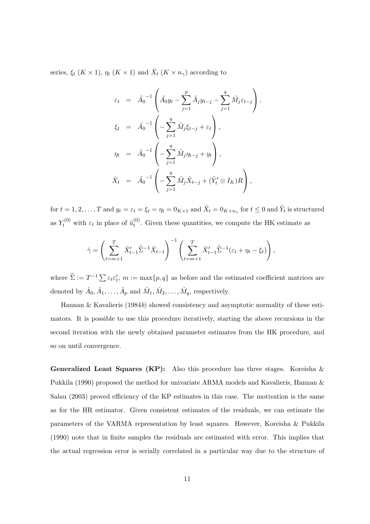series,  $\xi_t$  (*K* × 1),  $\eta_t$  (*K* × 1) and  $\hat{X}_t$  (*K* ×  $n_\gamma$ ) according to

$$
\varepsilon_t = \tilde{A}_0^{-1} \left( \tilde{A}_0 y_t - \sum_{j=1}^p \tilde{A}_j y_{t-j} - \sum_{j=1}^q \tilde{M}_j \varepsilon_{t-j} \right),
$$
  
\n
$$
\xi_t = \tilde{A}_0^{-1} \left( -\sum_{j=1}^q \tilde{M}_j \xi_{t-j} + \varepsilon_t \right),
$$
  
\n
$$
\eta_t = \tilde{A}_0^{-1} \left( -\sum_{j=1}^q \tilde{M}_j \eta_{t-j} + y_t \right),
$$
  
\n
$$
\hat{X}_t = \tilde{A}_0^{-1} \left( -\sum_{j=1}^q \tilde{M}_j \hat{X}_{t-j} + (\tilde{Y}_t' \otimes I_K) R \right),
$$

for  $t = 1, 2, ..., T$  and  $y_t = \varepsilon_t = \xi_t = \eta_t = 0_{K \times 1}$  and  $\hat{X}_t = 0_{K \times n_\gamma}$  for  $t \leq 0$  and  $\tilde{Y}_t$  is structured as  $Y_t^{(0)}$  with  $\varepsilon_t$  in place of  $\hat{u}_t^{(0)}$  $t_t^{(0)}$ . Given these quantities, we compute the HK estimate as

$$
\hat{\gamma} = \left(\sum_{t=m+1}^{T} \hat{X}'_{t-1} \hat{\Sigma}^{-1} \hat{X}_{t-1}\right)^{-1} \left(\sum_{t=m+1}^{T} \hat{X}'_{t-1} \hat{\Sigma}^{-1}(\varepsilon_t + \eta_t - \xi_t)\right),
$$

where  $\hat{\Sigma} := T^{-1} \sum \varepsilon_t \varepsilon'_t$ ,  $m := \max\{p, q\}$  as before and the estimated coefficient matrices are denoted by  $\hat{A}_0, \hat{A}_1, \ldots, \hat{A}_p$  and  $\hat{M}_1, \hat{M}_2, \ldots, \hat{M}_q$ , respectively.

Hannan & Kavalieris (1984*b*) showed consistency and asymptotic normality of these estimators. It is possible to use this procedure iteratively, starting the above recursions in the second iteration with the newly obtained parameter estimates from the HK procedure, and so on until convergence.

**Generalized Least Squares (KP):** Also this procedure has three stages. Koreisha & Pukkila (1990) proposed the method for univariate ARMA models and Kavalieris, Hannan & Salau (2003) proved efficiency of the KP estimates in this case. The motivation is the same as for the HR estimator. Given consistent estimates of the residuals, we can estimate the parameters of the VARMA representation by least squares. However, Koreisha & Pukkila (1990) note that in finite samples the residuals are estimated with error. This implies that the actual regression error is serially correlated in a particular way due to the structure of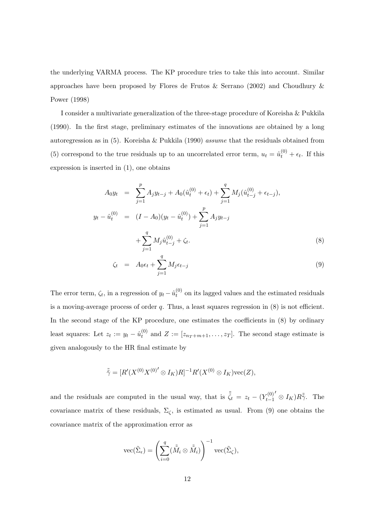the underlying VARMA process. The KP procedure tries to take this into account. Similar approaches have been proposed by Flores de Frutos & Serrano (2002) and Choudhury & Power (1998)

I consider a multivariate generalization of the three-stage procedure of Koreisha & Pukkila (1990). In the first stage, preliminary estimates of the innovations are obtained by a long autoregression as in (5). Koreisha & Pukkila (1990) *assume* that the residuals obtained from (5) correspond to the true residuals up to an uncorrelated error term,  $u_t = \hat{u}_t^{(0)} + \epsilon_t$ . If this expression is inserted in (1), one obtains

$$
A_0 y_t = \sum_{j=1}^p A_j y_{t-j} + A_0(\hat{u}_t^{(0)} + \epsilon_t) + \sum_{j=1}^q M_j(\hat{u}_{t-j}^{(0)} + \epsilon_{t-j}),
$$
  

$$
y_t - \hat{u}_t^{(0)} = (I - A_0)(y_t - \hat{u}_t^{(0)}) + \sum_{j=1}^p A_j y_{t-j}
$$

$$
+ \sum_{j=1}^q M_j \hat{u}_{t-j}^{(0)} + \zeta_t.
$$
 (8)

$$
\zeta_t = A_0 \epsilon_t + \sum_{j=1}^q M_j \epsilon_{t-j} \tag{9}
$$

The error term,  $\zeta_t$ , in a regression of  $y_t - \hat{u}_t^{(0)}$  $t_t^{(0)}$  on its lagged values and the estimated residuals is a moving-average process of order *q*. Thus, a least squares regression in (8) is not efficient. In the second stage of the KP procedure, one estimates the coefficients in (8) by ordinary least squares: Let  $z_t := y_t - \hat{u}_t^{(0)}$  $Z := [z_{n_T+m+1}, \ldots, z_T]$ . The second stage estimate is given analogously to the HR final estimate by

$$
\tilde{\tilde{\gamma}} = [R'(X^{(0)}X^{(0)'} \otimes I_K)R]^{-1}R'(X^{(0)} \otimes I_K)\text{vec}(Z),
$$

and the residuals are computed in the usual way, that is  $\tilde{\xi}_t^t = z_t - (Y_{t-1}^{(0)})$ *t−*1  $\int' \otimes I_K$ *R* $\tilde{\gamma}$ . The covariance matrix of these residuals,  $\Sigma_{\zeta}$ , is estimated as usual. From (9) one obtains the covariance matrix of the approximation error as

$$
\text{vec}(\tilde{\Sigma}_{\epsilon}) = \left(\sum_{i=0}^{q} (\tilde{\tilde{M}}_i \otimes \tilde{\tilde{M}}_i)\right)^{-1} \text{vec}(\tilde{\Sigma}_{\zeta}),
$$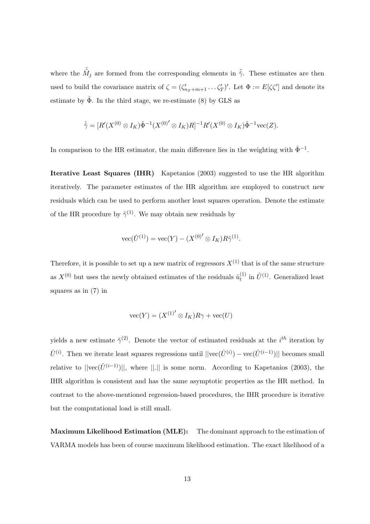where the  $\tilde{M}_j$  are formed from the corresponding elements in  $\tilde{\tilde{\gamma}}$ . These estimates are then used to build the covariance matrix of  $\zeta = (\zeta'_{n_T+m+1} \dots \zeta'_T)'$ . Let  $\Phi := E[\zeta \zeta']$  and denote its estimate by  $\hat{\Phi}$ . In the third stage, we re-estimate (8) by GLS as

$$
\hat{\tilde{\gamma}} = [R'(X^{(0)} \otimes I_K)\hat{\Phi}^{-1}(X^{(0)'} \otimes I_K)R]^{-1}R'(X^{(0)} \otimes I_K)\hat{\Phi}^{-1}\text{vec}(Z).
$$

In comparison to the HR estimator, the main difference lies in the weighting with  $\hat{\Phi}^{-1}$ .

**Iterative Least Squares (IHR)** Kapetanios (2003) suggested to use the HR algorithm iteratively. The parameter estimates of the HR algorithm are employed to construct new residuals which can be used to perform another least squares operation. Denote the estimate of the HR procedure by  $\tilde{\gamma}^{(1)}$ . We may obtain new residuals by

$$
\text{vec}(\hat{U}^{(1)}) = \text{vec}(Y) - (X^{(0)'} \otimes I_K)R\tilde{\gamma}^{(1)}.
$$

Therefore, it is possible to set up a new matrix of regressors  $X^{(1)}$  that is of the same structure as  $X^{(0)}$  but uses the newly obtained estimates of the residuals  $\hat{u}_t^{(1)}$  $\hat{U}^{(1)}$  in  $\hat{U}^{(1)}$ . Generalized least squares as in (7) in

$$
\text{vec}(Y) = (X^{(1)'} \otimes I_K)R\gamma + \text{vec}(U)
$$

yields a new estimate  $\tilde{\gamma}^{(2)}$ . Denote the vector of estimated residuals at the *i*<sup>th</sup> iteration by  $\hat{U}^{(i)}$ . Then we iterate least squares regressions until  $||\text{vec}(\hat{U}^{(i)}) - \text{vec}(\hat{U}^{(i-1)})||$  becomes small relative to  $||\text{vec}(\hat{U}^{(i-1)})||$ , where  $||.||$  is some norm. According to Kapetanios (2003), the IHR algorithm is consistent and has the same asymptotic properties as the HR method. In contrast to the above-mentioned regression-based procedures, the IHR procedure is iterative but the computational load is still small.

**Maximum Likelihood Estimation (MLE):** The dominant approach to the estimation of VARMA models has been of course maximum likelihood estimation. The exact likelihood of a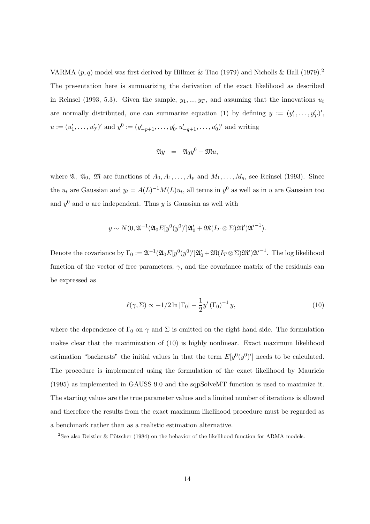VARMA  $(p, q)$  model was first derived by Hillmer & Tiao (1979) and Nicholls & Hall (1979).<sup>2</sup> The presentation here is summarizing the derivation of the exact likelihood as described in Reinsel (1993, 5.3). Given the sample,  $y_1, \ldots, y_T$ , and assuming that the innovations  $u_t$ are normally distributed, one can summarize equation (1) by defining  $y := (y'_1, \ldots, y'_T)$ ,  $u := (u'_1, \ldots, u'_T)'$  and  $y^0 := (y'_{-p+1}, \ldots, y'_0, u'_{-q+1}, \ldots, u'_0)'$  and writing

$$
\mathfrak{A}y = \mathfrak{A}_0 y^0 + \mathfrak{M}u,
$$

where  $\mathfrak{A}, \mathfrak{A}_0, \mathfrak{M}$  are functions of  $A_0, A_1, \ldots, A_p$  and  $M_1, \ldots, M_q$ , see Reinsel (1993). Since the  $u_t$  are Gaussian and  $y_t = A(L)^{-1}M(L)u_t$ , all terms in  $y^0$  as well as in *u* are Gaussian too and  $y^0$  and  $u$  are independent. Thus  $y$  is Gaussian as well with

$$
y \sim N(0, \mathfrak{A}^{-1}(\mathfrak{A}_0 E[y^0(y^0)]\mathfrak{A}_0' + \mathfrak{M}(I_T \otimes \Sigma)\mathfrak{M}')\mathfrak{A}'^{-1}).
$$

Denote the covariance by  $\Gamma_0 := \mathfrak{A}^{-1}(\mathfrak{A}_0 E[y^0(y^0)] \mathfrak{A}'_0 + \mathfrak{M}(I_T \otimes \Sigma) \mathfrak{M}' ) {\mathfrak{A}'}^{-1}$ . The log likelihood function of the vector of free parameters,  $\gamma$ , and the covariance matrix of the residuals can be expressed as

$$
\ell(\gamma, \Sigma) \propto -1/2 \ln |\Gamma_0| - \frac{1}{2} y' (\Gamma_0)^{-1} y,\tag{10}
$$

where the dependence of  $\Gamma_0$  on  $\gamma$  and  $\Sigma$  is omitted on the right hand side. The formulation makes clear that the maximization of (10) is highly nonlinear. Exact maximum likelihood estimation "backcasts" the initial values in that the term  $E[y^0(y^0)']$  needs to be calculated. The procedure is implemented using the formulation of the exact likelihood by Mauricio (1995) as implemented in GAUSS 9.0 and the sqpSolveMT function is used to maximize it. The starting values are the true parameter values and a limited number of iterations is allowed and therefore the results from the exact maximum likelihood procedure must be regarded as a benchmark rather than as a realistic estimation alternative.

<sup>&</sup>lt;sup>2</sup>See also Deistler & Pötscher (1984) on the behavior of the likelihood function for ARMA models.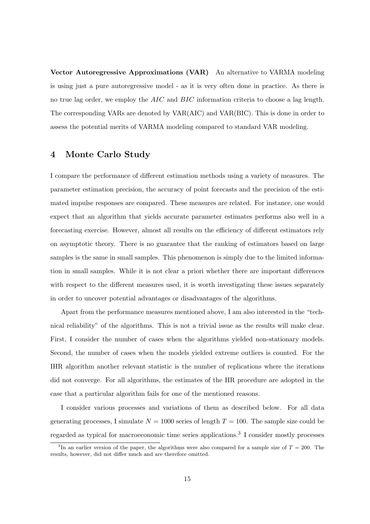**Vector Autoregressive Approximations (VAR)** An alternative to VARMA modeling is using just a pure autoregressive model - as it is very often done in practice. As there is no true lag order, we employ the *AIC* and *BIC* information criteria to choose a lag length. The corresponding VARs are denoted by VAR(AIC) and VAR(BIC). This is done in order to assess the potential merits of VARMA modeling compared to standard VAR modeling.

# **4 Monte Carlo Study**

I compare the performance of different estimation methods using a variety of measures. The parameter estimation precision, the accuracy of point forecasts and the precision of the estimated impulse responses are compared. These measures are related. For instance, one would expect that an algorithm that yields accurate parameter estimates performs also well in a forecasting exercise. However, almost all results on the efficiency of different estimators rely on asymptotic theory. There is no guarantee that the ranking of estimators based on large samples is the same in small samples. This phenomenon is simply due to the limited information in small samples. While it is not clear a priori whether there are important differences with respect to the different measures used, it is worth investigating these issues separately in order to uncover potential advantages or disadvantages of the algorithms.

Apart from the performance measures mentioned above, I am also interested in the "technical reliability" of the algorithms. This is not a trivial issue as the results will make clear. First, I consider the number of cases when the algorithms yielded non-stationary models. Second, the number of cases when the models yielded extreme outliers is counted. For the IHR algorithm another relevant statistic is the number of replications where the iterations did not converge. For all algorithms, the estimates of the HR procedure are adopted in the case that a particular algorithm fails for one of the mentioned reasons.

I consider various processes and variations of them as described below. For all data generating processes, I simulate  $N = 1000$  series of length  $T = 100$ . The sample size could be regarded as typical for macroeconomic time series applications.<sup>3</sup> I consider mostly processes

 ${}^{3}$ In an earlier version of the paper, the algorithms were also compared for a sample size of  $T = 200$ . The results, however, did not differ much and are therefore omitted.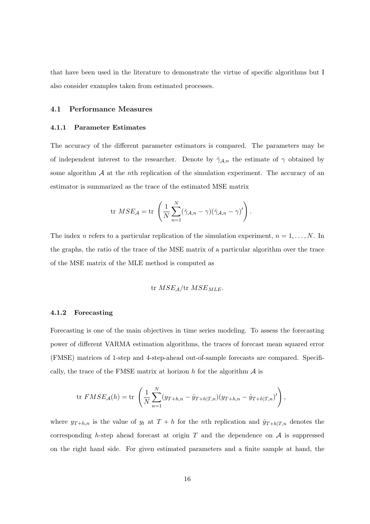that have been used in the literature to demonstrate the virtue of specific algorithms but I also consider examples taken from estimated processes.

#### **4.1 Performance Measures**

#### **4.1.1 Parameter Estimates**

The accuracy of the different parameter estimators is compared. The parameters may be of independent interest to the researcher. Denote by  $\hat{\gamma}_{A,n}$  the estimate of  $\gamma$  obtained by some algorithm  $A$  at the *n*th replication of the simulation experiment. The accuracy of an estimator is summarized as the trace of the estimated MSE matrix

$$
\text{tr } MSE_{\mathcal{A}} = \text{tr } \left( \frac{1}{N} \sum_{n=1}^{N} (\hat{\gamma}_{\mathcal{A},n} - \gamma)(\hat{\gamma}_{\mathcal{A},n} - \gamma)' \right).
$$

The index *n* refers to a particular replication of the simulation experiment,  $n = 1, \ldots, N$ . In the graphs, the ratio of the trace of the MSE matrix of a particular algorithm over the trace of the MSE matrix of the MLE method is computed as

$$
tr\ MSE_{\mathcal{A}}/tr\ MSE_{MLE}.
$$

#### **4.1.2 Forecasting**

Forecasting is one of the main objectives in time series modeling. To assess the forecasting power of different VARMA estimation algorithms, the traces of forecast mean squared error (FMSE) matrices of 1-step and 4-step-ahead out-of-sample forecasts are compared. Specifically, the trace of the FMSE matrix at horizon *h* for the algorithm *A* is

tr 
$$
FMSE_{\mathcal{A}}(h) = \text{tr}\left(\frac{1}{N} \sum_{n=1}^{N} (y_{T+h,n} - \hat{y}_{T+h|T,n}) (y_{T+h,n} - \hat{y}_{T+h|T,n})'\right),
$$

where  $y_{T+h,n}$  is the value of  $y_t$  at  $T+h$  for the *n*th replication and  $\hat{y}_{T+h|T,n}$  denotes the corresponding *h*-step ahead forecast at origin  $T$  and the dependence on  $A$  is suppressed on the right hand side. For given estimated parameters and a finite sample at hand, the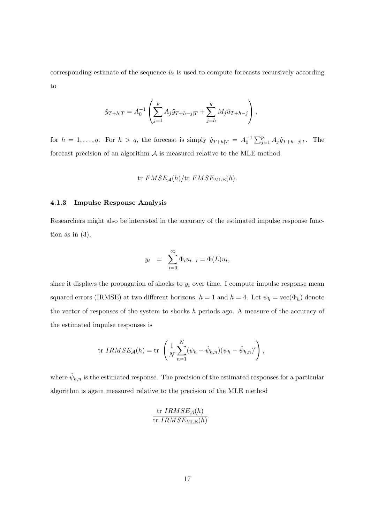corresponding estimate of the sequence  $\hat{u}_t$  is used to compute forecasts recursively according to

$$
\hat{y}_{T+h|T} = A_0^{-1} \left( \sum_{j=1}^p A_j \hat{y}_{T+h-j|T} + \sum_{j=h}^q M_j \hat{u}_{T+h-j} \right),
$$

for  $h = 1, ..., q$ . For  $h > q$ , the forecast is simply  $\hat{y}_{T+h|T} = A_0^{-1} \sum_{j=1}^p A_j \hat{y}_{T+h-j|T}$ . The forecast precision of an algorithm *A* is measured relative to the MLE method

$$
\text{tr}\ FMSE_{\mathcal{A}}(h)/\text{tr}\ FMSE_{\text{MLE}}(h).
$$

#### **4.1.3 Impulse Response Analysis**

Researchers might also be interested in the accuracy of the estimated impulse response function as in  $(3)$ ,

$$
y_t = \sum_{i=0}^{\infty} \Phi_i u_{t-i} = \Phi(L) u_t,
$$

since it displays the propagation of shocks to  $y_t$  over time. I compute impulse response mean squared errors (IRMSE) at two different horizons,  $h = 1$  and  $h = 4$ . Let  $\psi_h = \text{vec}(\Phi_h)$  denote the vector of responses of the system to shocks *h* periods ago. A measure of the accuracy of the estimated impulse responses is

$$
\text{tr}\,\, IRMSE_{\mathcal{A}}(h) = \text{tr}\,\,\left(\frac{1}{N}\sum_{n=1}^N(\psi_h - \hat{\psi}_{h,n})(\psi_h - \hat{\psi}_{h,n})'\right),\,
$$

where  $\hat{\psi}_{h,n}$  is the estimated response. The precision of the estimated responses for a particular algorithm is again measured relative to the precision of the MLE method

$$
\frac{\text{tr}\,IRMSE_{\mathcal{A}}(h)}{\text{tr}\,IRMSE_{MLE}(h)}.
$$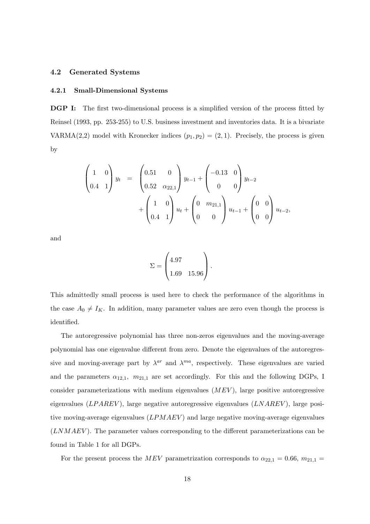### **4.2 Generated Systems**

#### **4.2.1 Small-Dimensional Systems**

**DGP I:** The first two-dimensional process is a simplified version of the process fitted by Reinsel (1993, pp. 253-255) to U.S. business investment and inventories data. It is a bivariate VARMA(2,2) model with Kronecker indices  $(p_1, p_2) = (2, 1)$ . Precisely, the process is given by

$$
\begin{pmatrix} 1 & 0 \ 0.4 & 1 \end{pmatrix} y_t = \begin{pmatrix} 0.51 & 0 \ 0.52 & \alpha_{22,1} \end{pmatrix} y_{t-1} + \begin{pmatrix} -0.13 & 0 \ 0 & 0 \end{pmatrix} y_{t-2} + \begin{pmatrix} 1 & 0 \ 0.4 & 1 \end{pmatrix} u_t + \begin{pmatrix} 0 & m_{21,1} \ 0 & 0 \end{pmatrix} u_{t-1} + \begin{pmatrix} 0 & 0 \ 0 & 0 \end{pmatrix} u_{t-2},
$$

and

$$
\Sigma = \begin{pmatrix} 4.97 \\ 1.69 & 15.96 \end{pmatrix}.
$$

This admittedly small process is used here to check the performance of the algorithms in the case  $A_0 \neq I_K$ . In addition, many parameter values are zero even though the process is identified.

The autoregressive polynomial has three non-zeros eigenvalues and the moving-average polynomial has one eigenvalue different from zero. Denote the eigenvalues of the autoregressive and moving-average part by  $\lambda^{ar}$  and  $\lambda^{ma}$ , respectively. These eigenvalues are varied and the parameters  $\alpha_{12,1}$ ,  $m_{21,1}$  are set accordingly. For this and the following DGPs, I consider parameterizations with medium eigenvalues (*MEV* ), large positive autoregressive eigenvalues (*LP AREV* ), large negative autoregressive eigenvalues (*LNAREV* ), large positive moving-average eigenvalues (*LPMAEV* ) and large negative moving-average eigenvalues (*LNMAEV* ). The parameter values corresponding to the different parameterizations can be found in Table 1 for all DGPs.

For the present process the *MEV* parametrization corresponds to  $\alpha_{22,1} = 0.66$ ,  $m_{21,1} =$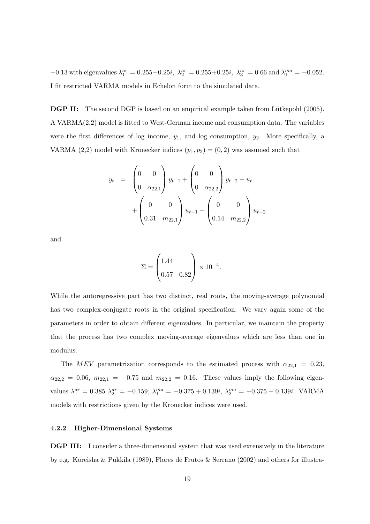$-0.13$  with eigenvalues  $\lambda_1^{ar} = 0.255 - 0.25i$ ,  $\lambda_2^{ar} = 0.255 + 0.25i$ ,  $\lambda_3^{ar} = 0.66$  and  $\lambda_1^{ma} = -0.052$ . I fit restricted VARMA models in Echelon form to the simulated data.

**DGP II:** The second DGP is based on an empirical example taken from Lütkepohl (2005). A VARMA(2,2) model is fitted to West-German income and consumption data. The variables were the first differences of log income, *y*1, and log consumption, *y*2. More specifically, a VARMA (2,2) model with Kronecker indices  $(p_1, p_2) = (0, 2)$  was assumed such that

$$
y_t = \begin{pmatrix} 0 & 0 \\ 0 & \alpha_{22,1} \end{pmatrix} y_{t-1} + \begin{pmatrix} 0 & 0 \\ 0 & \alpha_{22,2} \end{pmatrix} y_{t-2} + u_t + \begin{pmatrix} 0 & 0 \\ 0.31 & m_{22,1} \end{pmatrix} u_{t-1} + \begin{pmatrix} 0 & 0 \\ 0.14 & m_{22,2} \end{pmatrix} u_{t-2}
$$

and

$$
\Sigma = \begin{pmatrix} 1.44 \\ 0.57 & 0.82 \end{pmatrix} \times 10^{-4}.
$$

While the autoregressive part has two distinct, real roots, the moving-average polynomial has two complex-conjugate roots in the original specification. We vary again some of the parameters in order to obtain different eigenvalues. In particular, we maintain the property that the process has two complex moving-average eigenvalues which are less than one in modulus.

The *MEV* parametrization corresponds to the estimated process with  $\alpha_{22,1} = 0.23$ ,  $\alpha_{22,2} = 0.06$ ,  $m_{22,1} = -0.75$  and  $m_{22,2} = 0.16$ . These values imply the following eigenvalues  $\lambda_1^{ar} = 0.385 \lambda_2^{ar} = -0.159$ ,  $\lambda_1^{ma} = -0.375 + 0.139i$ ,  $\lambda_2^{ma} = -0.375 - 0.139i$ . VARMA models with restrictions given by the Kronecker indices were used.

#### **4.2.2 Higher-Dimensional Systems**

**DGP III:** I consider a three-dimensional system that was used extensively in the literature by e.g. Koreisha & Pukkila (1989), Flores de Frutos & Serrano (2002) and others for illustra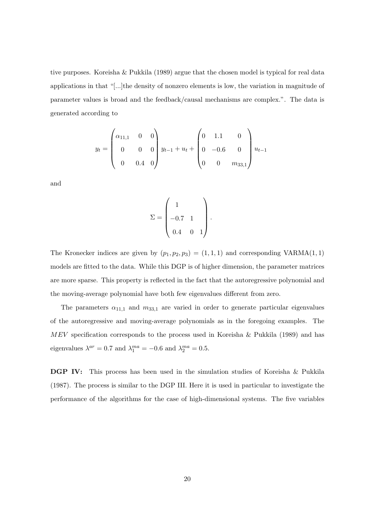tive purposes. Koreisha & Pukkila (1989) argue that the chosen model is typical for real data applications in that "[...]the density of nonzero elements is low, the variation in magnitude of parameter values is broad and the feedback/causal mechanisms are complex.". The data is generated according to

$$
y_t = \begin{pmatrix} \alpha_{11,1} & 0 & 0 \\ 0 & 0 & 0 \\ 0 & 0.4 & 0 \end{pmatrix} y_{t-1} + u_t + \begin{pmatrix} 0 & 1.1 & 0 \\ 0 & -0.6 & 0 \\ 0 & 0 & m_{33,1} \end{pmatrix} u_{t-1}
$$

and

$$
\Sigma = \begin{pmatrix} 1 & & \\ -0.7 & 1 & \\ 0.4 & 0 & 1 \end{pmatrix}.
$$

The Kronecker indices are given by  $(p_1, p_2, p_3) = (1, 1, 1)$  and corresponding VARMA $(1, 1)$ models are fitted to the data. While this DGP is of higher dimension, the parameter matrices are more sparse. This property is reflected in the fact that the autoregressive polynomial and the moving-average polynomial have both few eigenvalues different from zero.

The parameters  $\alpha_{11,1}$  and  $m_{33,1}$  are varied in order to generate particular eigenvalues of the autoregressive and moving-average polynomials as in the foregoing examples. The *MEV* specification corresponds to the process used in Koreisha & Pukkila (1989) and has eigenvalues  $\lambda^{ar} = 0.7$  and  $\lambda_1^{ma} = -0.6$  and  $\lambda_2^{ma} = 0.5$ .

**DGP IV:** This process has been used in the simulation studies of Koreisha & Pukkila (1987). The process is similar to the DGP III. Here it is used in particular to investigate the performance of the algorithms for the case of high-dimensional systems. The five variables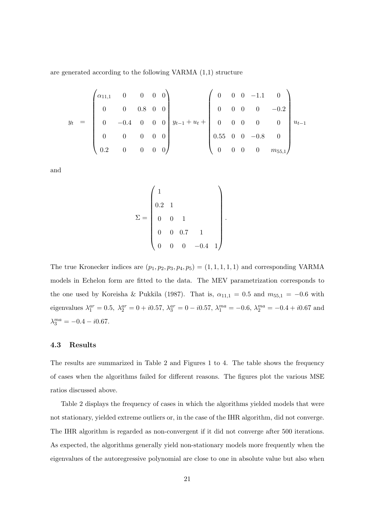are generated according to the following VARMA (1,1) structure

$$
y_{t} = \begin{pmatrix} \alpha_{11,1} & 0 & 0 & 0 & 0 \\ 0 & 0 & 0.8 & 0 & 0 \\ 0 & -0.4 & 0 & 0 & 0 \\ 0 & 0 & 0 & 0 & 0 \\ 0.2 & 0 & 0 & 0 & 0 \end{pmatrix} y_{t-1} + u_{t} + \begin{pmatrix} 0 & 0 & 0 & -1.1 & 0 \\ 0 & 0 & 0 & 0 & -0.2 \\ 0 & 0 & 0 & 0 & 0 \\ 0.55 & 0 & 0 & -0.8 & 0 \\ 0 & 0 & 0 & 0 & m_{55,1} \end{pmatrix} u_{t-1}
$$

and

$$
\Sigma = \begin{pmatrix} 1 & & & & \\ 0.2 & 1 & & & \\ 0 & 0 & 1 & & \\ 0 & 0 & 0.7 & 1 & \\ 0 & 0 & 0 & -0.4 & 1 \end{pmatrix}.
$$

The true Kronecker indices are  $(p_1, p_2, p_3, p_4, p_5) = (1, 1, 1, 1, 1)$  and corresponding VARMA models in Echelon form are fitted to the data. The MEV parametrization corresponds to the one used by Koreisha & Pukkila (1987). That is,  $\alpha_{11,1} = 0.5$  and  $m_{55,1} = -0.6$  with eigenvalues  $\lambda_1^{ar} = 0.5$ ,  $\lambda_2^{ar} = 0 + i0.57$ ,  $\lambda_3^{ar} = 0 - i0.57$ ,  $\lambda_1^{ma} = -0.6$ ,  $\lambda_2^{ma} = -0.4 + i0.67$  and  $\lambda_3^{ma} = -0.4 - i0.67.$ 

#### **4.3 Results**

The results are summarized in Table 2 and Figures 1 to 4. The table shows the frequency of cases when the algorithms failed for different reasons. The figures plot the various MSE ratios discussed above.

Table 2 displays the frequency of cases in which the algorithms yielded models that were not stationary, yielded extreme outliers or, in the case of the IHR algorithm, did not converge. The IHR algorithm is regarded as non-convergent if it did not converge after 500 iterations. As expected, the algorithms generally yield non-stationary models more frequently when the eigenvalues of the autoregressive polynomial are close to one in absolute value but also when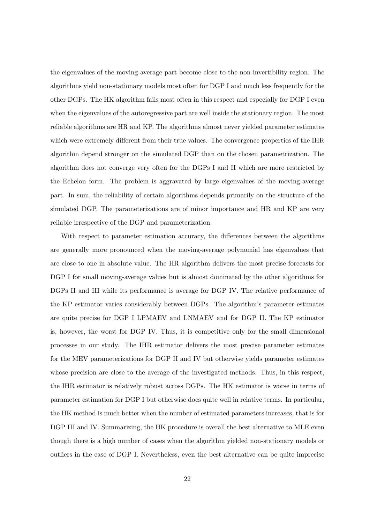the eigenvalues of the moving-average part become close to the non-invertibility region. The algorithms yield non-stationary models most often for DGP I and much less frequently for the other DGPs. The HK algorithm fails most often in this respect and especially for DGP I even when the eigenvalues of the autoregressive part are well inside the stationary region. The most reliable algorithms are HR and KP. The algorithms almost never yielded parameter estimates which were extremely different from their true values. The convergence properties of the IHR algorithm depend stronger on the simulated DGP than on the chosen parametrization. The algorithm does not converge very often for the DGPs I and II which are more restricted by the Echelon form. The problem is aggravated by large eigenvalues of the moving-average part. In sum, the reliability of certain algorithms depends primarily on the structure of the simulated DGP. The parameterizations are of minor importance and HR and KP are very reliable irrespective of the DGP and parameterization.

With respect to parameter estimation accuracy, the differences between the algorithms are generally more pronounced when the moving-average polynomial has eigenvalues that are close to one in absolute value. The HR algorithm delivers the most precise forecasts for DGP I for small moving-average values but is almost dominated by the other algorithms for DGPs II and III while its performance is average for DGP IV. The relative performance of the KP estimator varies considerably between DGPs. The algorithm's parameter estimates are quite precise for DGP I LPMAEV and LNMAEV and for DGP II. The KP estimator is, however, the worst for DGP IV. Thus, it is competitive only for the small dimensional processes in our study. The IHR estimator delivers the most precise parameter estimates for the MEV parameterizations for DGP II and IV but otherwise yields parameter estimates whose precision are close to the average of the investigated methods. Thus, in this respect, the IHR estimator is relatively robust across DGPs. The HK estimator is worse in terms of parameter estimation for DGP I but otherwise does quite well in relative terms. In particular, the HK method is much better when the number of estimated parameters increases, that is for DGP III and IV. Summarizing, the HK procedure is overall the best alternative to MLE even though there is a high number of cases when the algorithm yielded non-stationary models or outliers in the case of DGP I. Nevertheless, even the best alternative can be quite imprecise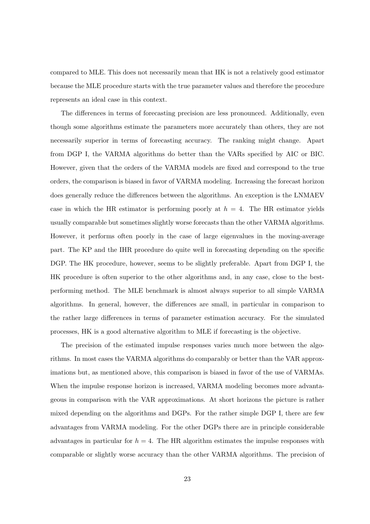compared to MLE. This does not necessarily mean that HK is not a relatively good estimator because the MLE procedure starts with the true parameter values and therefore the procedure represents an ideal case in this context.

The differences in terms of forecasting precision are less pronounced. Additionally, even though some algorithms estimate the parameters more accurately than others, they are not necessarily superior in terms of forecasting accuracy. The ranking might change. Apart from DGP I, the VARMA algorithms do better than the VARs specified by AIC or BIC. However, given that the orders of the VARMA models are fixed and correspond to the true orders, the comparison is biased in favor of VARMA modeling. Increasing the forecast horizon does generally reduce the differences between the algorithms. An exception is the LNMAEV case in which the HR estimator is performing poorly at  $h = 4$ . The HR estimator yields usually comparable but sometimes slightly worse forecasts than the other VARMA algorithms. However, it performs often poorly in the case of large eigenvalues in the moving-average part. The KP and the IHR procedure do quite well in forecasting depending on the specific DGP. The HK procedure, however, seems to be slightly preferable. Apart from DGP I, the HK procedure is often superior to the other algorithms and, in any case, close to the bestperforming method. The MLE benchmark is almost always superior to all simple VARMA algorithms. In general, however, the differences are small, in particular in comparison to the rather large differences in terms of parameter estimation accuracy. For the simulated processes, HK is a good alternative algorithm to MLE if forecasting is the objective.

The precision of the estimated impulse responses varies much more between the algorithms. In most cases the VARMA algorithms do comparably or better than the VAR approximations but, as mentioned above, this comparison is biased in favor of the use of VARMAs. When the impulse response horizon is increased, VARMA modeling becomes more advantageous in comparison with the VAR approximations. At short horizons the picture is rather mixed depending on the algorithms and DGPs. For the rather simple DGP I, there are few advantages from VARMA modeling. For the other DGPs there are in principle considerable advantages in particular for  $h = 4$ . The HR algorithm estimates the impulse responses with comparable or slightly worse accuracy than the other VARMA algorithms. The precision of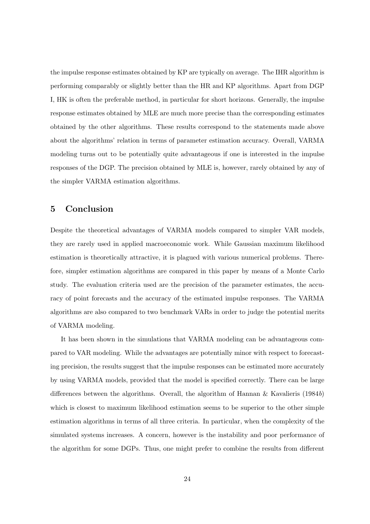the impulse response estimates obtained by KP are typically on average. The IHR algorithm is performing comparably or slightly better than the HR and KP algorithms. Apart from DGP I, HK is often the preferable method, in particular for short horizons. Generally, the impulse response estimates obtained by MLE are much more precise than the corresponding estimates obtained by the other algorithms. These results correspond to the statements made above about the algorithms' relation in terms of parameter estimation accuracy. Overall, VARMA modeling turns out to be potentially quite advantageous if one is interested in the impulse responses of the DGP. The precision obtained by MLE is, however, rarely obtained by any of the simpler VARMA estimation algorithms.

# **5 Conclusion**

Despite the theoretical advantages of VARMA models compared to simpler VAR models, they are rarely used in applied macroeconomic work. While Gaussian maximum likelihood estimation is theoretically attractive, it is plagued with various numerical problems. Therefore, simpler estimation algorithms are compared in this paper by means of a Monte Carlo study. The evaluation criteria used are the precision of the parameter estimates, the accuracy of point forecasts and the accuracy of the estimated impulse responses. The VARMA algorithms are also compared to two benchmark VARs in order to judge the potential merits of VARMA modeling.

It has been shown in the simulations that VARMA modeling can be advantageous compared to VAR modeling. While the advantages are potentially minor with respect to forecasting precision, the results suggest that the impulse responses can be estimated more accurately by using VARMA models, provided that the model is specified correctly. There can be large differences between the algorithms. Overall, the algorithm of Hannan & Kavalieris (1984*b*) which is closest to maximum likelihood estimation seems to be superior to the other simple estimation algorithms in terms of all three criteria. In particular, when the complexity of the simulated systems increases. A concern, however is the instability and poor performance of the algorithm for some DGPs. Thus, one might prefer to combine the results from different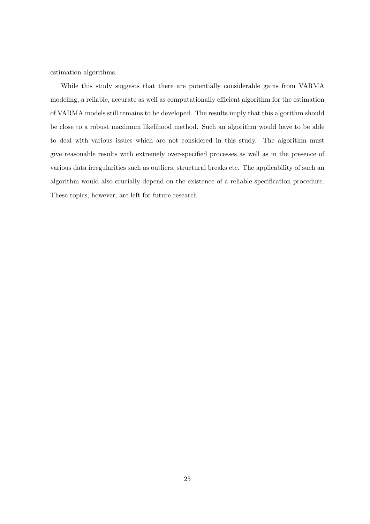estimation algorithms.

While this study suggests that there are potentially considerable gains from VARMA modeling, a reliable, accurate as well as computationally efficient algorithm for the estimation of VARMA models still remains to be developed. The results imply that this algorithm should be close to a robust maximum likelihood method. Such an algorithm would have to be able to deal with various issues which are not considered in this study. The algorithm must give reasonable results with extremely over-specified processes as well as in the presence of various data irregularities such as outliers, structural breaks etc. The applicability of such an algorithm would also crucially depend on the existence of a reliable specification procedure. These topics, however, are left for future research.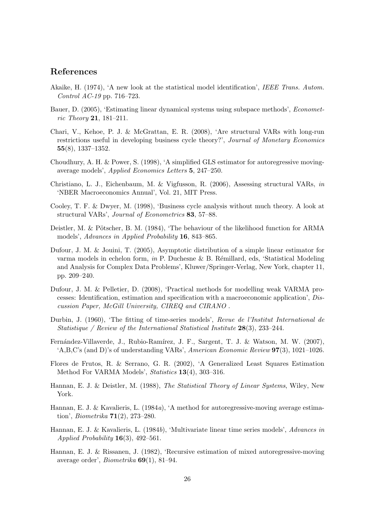## **References**

- Akaike, H. (1974), 'A new look at the statistical model identification', *IEEE Trans. Autom. Control AC-19* pp. 716–723.
- Bauer, D. (2005), 'Estimating linear dynamical systems using subspace methods', *Econometric Theory* **21**, 181–211.
- Chari, V., Kehoe, P. J. & McGrattan, E. R. (2008), 'Are structural VARs with long-run restrictions useful in developing business cycle theory?', *Journal of Monetary Economics* **55**(8), 1337–1352.
- Choudhury, A. H. & Power, S. (1998), 'A simplified GLS estimator for autoregressive movingaverage models', *Applied Economics Letters* **5**, 247–250.
- Christiano, L. J., Eichenbaum, M. & Vigfusson, R. (2006), Assessing structural VARs, *in* 'NBER Macroeconomics Annual', Vol. 21, MIT Press.
- Cooley, T. F. & Dwyer, M. (1998), 'Business cycle analysis without much theory. A look at structural VARs', *Journal of Econometrics* **83**, 57–88.
- Deistler, M. & Pötscher, B. M. (1984), 'The behaviour of the likelihood function for ARMA models', *Advances in Applied Probability* **16**, 843–865.
- Dufour, J. M. & Jouini, T. (2005), Asymptotic distribution of a simple linear estimator for varma models in echelon form, *in* P. Duchesne & B. Rémillard, eds, 'Statistical Modeling and Analysis for Complex Data Problems', Kluwer/Springer-Verlag, New York, chapter 11, pp. 209–240.
- Dufour, J. M. & Pelletier, D. (2008), 'Practical methods for modelling weak VARMA processes: Identification, estimation and specification with a macroeconomic application', *Discussion Paper, McGill University, CIREQ and CIRANO* .
- Durbin, J. (1960), 'The fitting of time-series models', *Revue de l'Institut International de Statistique / Review of the International Statistical Institute* **28**(3), 233–244.
- Fernández-Villaverde, J., Rubio-Ramírez, J. F., Sargent, T. J. & Watson, M. W. (2007), 'A,B,C's (and D)'s of understanding VARs', *American Economic Review* **97**(3), 1021–1026.
- Flores de Frutos, R. & Serrano, G. R. (2002), 'A Generalized Least Squares Estimation Method For VARMA Models', *Statistics* **13**(4), 303–316.
- Hannan, E. J. & Deistler, M. (1988), *The Statistical Theory of Linear Systems*, Wiley, New York.
- Hannan, E. J. & Kavalieris, L. (1984*a*), 'A method for autoregressive-moving average estimation', *Biometrika* **71**(2), 273–280.
- Hannan, E. J. & Kavalieris, L. (1984*b*), 'Multivariate linear time series models', *Advances in Applied Probability* **16**(3), 492–561.
- Hannan, E. J. & Rissanen, J. (1982), 'Recursive estimation of mixed autoregressive-moving average order', *Biometrika* **69**(1), 81–94.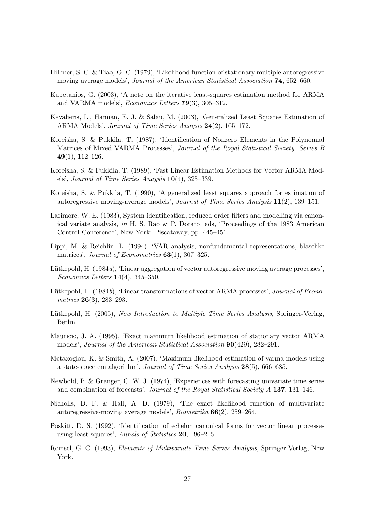- Hillmer, S. C. & Tiao, G. C. (1979), 'Likelihood function of stationary multiple autoregressive moving average models', *Journal of the American Statistical Association* **74**, 652–660.
- Kapetanios, G. (2003), 'A note on the iterative least-squares estimation method for ARMA and VARMA models', *Economics Letters* **79**(3), 305–312.
- Kavalieris, L., Hannan, E. J. & Salau, M. (2003), 'Generalized Least Squares Estimation of ARMA Models', *Journal of Time Series Anaysis* **24**(2), 165–172.
- Koreisha, S. & Pukkila, T. (1987), 'Identification of Nonzero Elements in the Polynomial Matrices of Mixed VARMA Processes', *Journal of the Royal Statistical Society. Series B* **49**(1), 112–126.
- Koreisha, S. & Pukkila, T. (1989), 'Fast Linear Estimation Methods for Vector ARMA Models', *Journal of Time Series Anaysis* **10**(4), 325–339.
- Koreisha, S. & Pukkila, T. (1990), 'A generalized least squares approach for estimation of autoregressive moving-average models', *Journal of Time Series Analysis* **11**(2), 139–151.
- Larimore, W. E. (1983), System identification, reduced order filters and modelling via canonical variate analysis, *in* H. S. Rao & P. Dorato, eds, 'Proceedings of the 1983 American Control Conference', New York: Piscataway, pp. 445–451.
- Lippi, M. & Reichlin, L. (1994), 'VAR analysis, nonfundamental representations, blaschke matrices', *Journal of Econometrics* **63**(1), 307–325.
- Lütkepohl, H. (1984*a*), 'Linear aggregation of vector autoregressive moving average processes', *Economics Letters* **14**(4), 345–350.
- Lütkepohl, H. (1984*b*), 'Linear transformations of vector ARMA processes', *Journal of Econometrics* **26**(3), 283–293.
- Lütkepohl, H. (2005), *New Introduction to Multiple Time Series Analysis*, Springer-Verlag, Berlin.
- Mauricio, J. A. (1995), 'Exact maximum likelihood estimation of stationary vector ARMA models', *Journal of the American Statistical Association* **90**(429), 282–291.
- Metaxoglou, K. & Smith, A. (2007), 'Maximum likelihood estimation of varma models using a state-space em algorithm', *Journal of Time Series Analysis* **28**(5), 666–685.
- Newbold, P. & Granger, C. W. J. (1974), 'Experiences with forecasting univariate time series and combination of forecasts', *Journal of the Royal Statistical Society A* **137**, 131–146.
- Nicholls, D. F. & Hall, A. D. (1979), 'The exact likelihood function of multivariate autoregressive-moving average models', *Biometrika* **66**(2), 259–264.
- Poskitt, D. S. (1992), 'Identification of echelon canonical forms for vector linear processes using least squares', *Annals of Statistics* **20**, 196–215.
- Reinsel, G. C. (1993), *Elements of Multivariate Time Series Analysis*, Springer-Verlag, New York.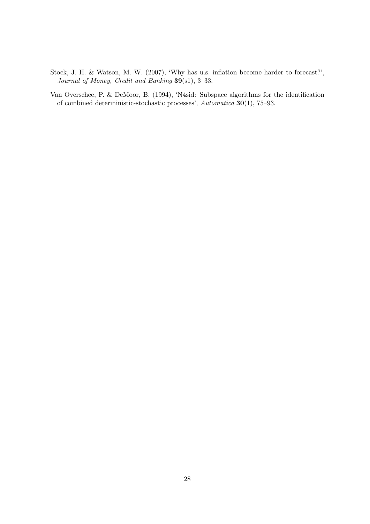- Stock, J. H. & Watson, M. W. (2007), 'Why has u.s. inflation become harder to forecast?', *Journal of Money, Credit and Banking* **39**(s1), 3–33.
- Van Overschee, P. & DeMoor, B. (1994), 'N4sid: Subspace algorithms for the identification of combined deterministic-stochastic processes', *Automatica* **30**(1), 75–93.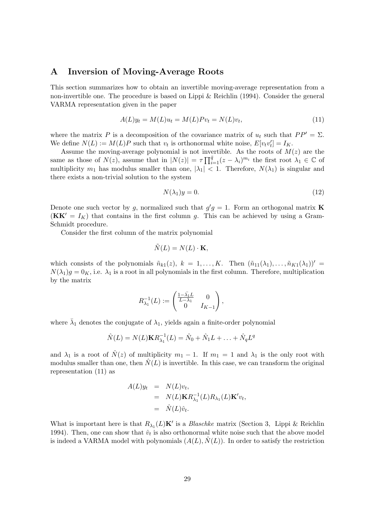## **A Inversion of Moving-Average Roots**

This section summarizes how to obtain an invertible moving-average representation from a non-invertible one. The procedure is based on Lippi & Reichlin (1994). Consider the general VARMA representation given in the paper

$$
A(L)y_t = M(L)u_t = M(L)Pv_t = N(L)v_t,
$$
\n(11)

where the matrix *P* is a decomposition of the covariance matrix of  $u_t$  such that  $PP' = \Sigma$ . We define  $N(L) := M(L)P$  such that  $v_t$  is orthonormal white noise,  $E[v_t v_t'] = I_K$ .

Assume the moving-average polynomial is not invertible. As the roots of  $M(z)$  are the same as those of  $N(z)$ , assume that in  $|N(z)| = \tau \prod_{i=1}^{\bar{q}} (z - \lambda_i)^{m_i}$  the first root  $\lambda_1 \in \mathbb{C}$  of multiplicity  $m_1$  has modulus smaller than one,  $|\lambda_1| < 1$ . Therefore,  $N(\lambda_1)$  is singular and there exists a non-trivial solution to the system

$$
N(\lambda_1)y = 0.\t(12)
$$

Denote one such vector by *g*, normalized such that  $g'g = 1$ . Form an orthogonal matrix **K**  $(KK' = I_K)$  that contains in the first column *g*. This can be achieved by using a Gram-Schmidt procedure.

Consider the first column of the matrix polynomial

$$
\tilde{N}(L) = N(L) \cdot \mathbf{K},
$$

which consists of the polynomials  $\tilde{n}_{k1}(z)$ ,  $k = 1, \ldots, K$ . Then  $(\tilde{n}_{11}(\lambda_1), \ldots, \tilde{n}_{K1}(\lambda_1))'$  $N(\lambda_1)g = 0_K$ , i.e.  $\lambda_1$  is a root in all polynomials in the first column. Therefore, multiplication by the matrix

$$
R_{\lambda_1}^{-1}(L) := \begin{pmatrix} \frac{1-\bar{\lambda_1}L}{L-\lambda_1} & 0\\ 0 & I_{K-1} \end{pmatrix},
$$

where  $\bar{\lambda}_1$  denotes the conjugate of  $\lambda_1$ , yields again a finite-order polynomial

$$
\hat{N}(L) = N(L)\mathbf{K}R_{\lambda_1}^{-1}(L) = \hat{N}_0 + \hat{N}_1L + \dots + \hat{N}_qL^q
$$

and  $\lambda_1$  is a root of  $\hat{N}(z)$  of multiplicity  $m_1 - 1$ . If  $m_1 = 1$  and  $\lambda_1$  is the only root with modulus smaller than one, then  $\dot{N}(L)$  is invertible. In this case, we can transform the original representation (11) as

$$
A(L)y_t = N(L)v_t,
$$
  
=  $N(L)\mathbf{K}R_{\lambda_1}^{-1}(L)R_{\lambda_1}(L)\mathbf{K}'v_t,$   
=  $\hat{N}(L)\hat{v}_t.$ 

What is important here is that  $R_{\lambda_1}(L)\mathbf{K}'$  is a *Blaschke* matrix (Section 3, Lippi & Reichlin 1994). Then, one can show that  $\hat{v}_t$  is also orthonormal white noise such that the above model is indeed a VARMA model with polynomials  $(A(L), \hat{N}(L))$ . In order to satisfy the restriction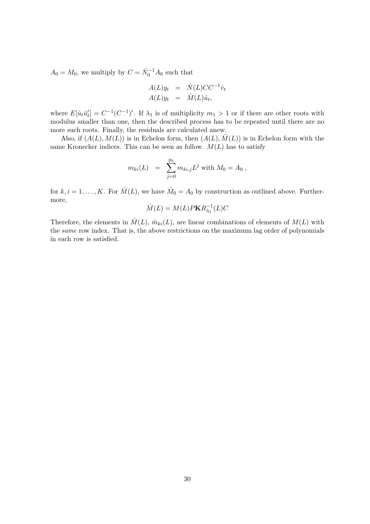$A_0 = M_0$ , we multiply by  $C = \hat{N}_0^{-1} A_0$  such that

$$
A(L)y_t = \hat{N}(L)CC^{-1}\hat{v}_t
$$
  
 
$$
A(L)y_t = \hat{M}(L)\hat{u}_t,
$$

where  $E[\hat{u}_t \hat{u}'_t] = C^{-1}(C^{-1})'$ . If  $\lambda_1$  is of multiplicity  $m_1 > 1$  or if there are other roots with modulus smaller than one, then the described process has to be repeated until there are no more such roots. Finally, the residuals are calculated anew.

Also, if  $(A(L), M(L))$  is in Echelon form, then  $(A(L), M(L))$  is in Echelon form with the same Kronecker indices. This can be seen as follow.  $M(L)$  has to satisfy

$$
m_{ki}(L) = \sum_{j=0}^{p_k} m_{ki,j} L^j \text{ with } M_0 = A_0 ,
$$

for  $k, i = 1, \ldots, K$ . For  $\hat{M}(L)$ , we have  $\hat{M}_0 = A_0$  by construction as outlined above. Furthermore,

$$
\hat{M}(L) = M(L) P \mathbf{K} R_{\lambda_1}^{-1}(L) C
$$

Therefore, the elements in  $\hat{M}(L)$ ,  $\hat{m}_{ki}(L)$ , are linear combinations of elements of  $M(L)$  with the *same* row index. That is, the above restrictions on the maximum lag order of polynomials in each row is satisfied.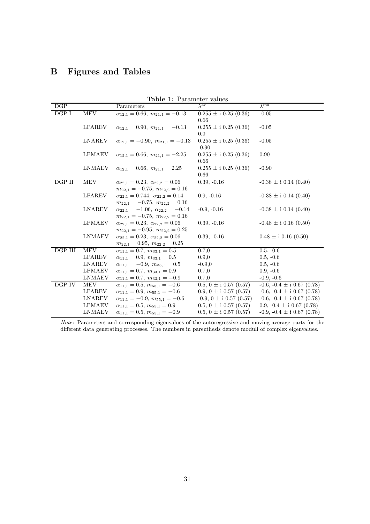# **B Figures and Tables**

| <b>Lable 1.</b> I alameter values |               |                                                  |                             |                                |  |  |  |  |  |
|-----------------------------------|---------------|--------------------------------------------------|-----------------------------|--------------------------------|--|--|--|--|--|
| DGP                               |               | Parameters                                       | $\overline{\lambda^{ar}}$   | $\overline{\lambda^{ma}}$      |  |  |  |  |  |
| DGP I                             | MEV           | $\alpha_{12.1} = 0.66, m_{21.1} = -0.13$         | $0.255 \pm i 0.25 (0.36)$   | $-0.05$                        |  |  |  |  |  |
|                                   |               |                                                  | 0.66                        |                                |  |  |  |  |  |
|                                   | <b>LPAREV</b> | $\alpha_{12.1} = 0.90, m_{21.1} = -0.13$         | $0.255 \pm i 0.25 (0.36)$   | $-0.05$                        |  |  |  |  |  |
|                                   |               |                                                  | 0.9                         |                                |  |  |  |  |  |
|                                   | <b>LNAREV</b> | $\alpha_{12,1} = -0.90, m_{21,1} = -0.13$        | $0.255 \pm i 0.25 (0.36)$   | $-0.05$                        |  |  |  |  |  |
|                                   |               |                                                  | $-0.90$                     |                                |  |  |  |  |  |
|                                   | <b>LPMAEV</b> | $\alpha_{12,1} = 0.66, m_{21,1} = -2.25$         | $0.255 \pm i 0.25 (0.36)$   | 0.90                           |  |  |  |  |  |
|                                   |               |                                                  | 0.66                        |                                |  |  |  |  |  |
|                                   | <b>LNMAEV</b> | $\alpha_{12.1} = 0.66, m_{21.1} = 2.25$          | $0.255 \pm i 0.25 (0.36)$   | $-0.90$                        |  |  |  |  |  |
|                                   |               |                                                  | 0.66                        |                                |  |  |  |  |  |
| $DGP$ II                          | MEV           | $\alpha_{22,1} = 0.23, \ \alpha_{22,2} = 0.06$   | $0.39, -0.16$               | $-0.38 \pm i 0.14 (0.40)$      |  |  |  |  |  |
|                                   |               | $m_{22,1} = -0.75$ , $m_{22,2} = 0.16$           |                             |                                |  |  |  |  |  |
|                                   | <b>LPAREV</b> | $\alpha_{22,1} = 0.744, \ \alpha_{22,2} = 0.14$  | $0.9, -0.16$                | $-0.38 \pm i 0.14 (0.40)$      |  |  |  |  |  |
|                                   |               | $m_{22,1} = -0.75$ , $m_{22,2} = 0.16$           |                             |                                |  |  |  |  |  |
|                                   | <b>LNAREV</b> | $\alpha_{22,1} = -1.06, \ \alpha_{22,2} = -0.14$ | $-0.9, -0.16$               | $-0.38 \pm i 0.14 (0.40)$      |  |  |  |  |  |
|                                   |               | $m_{22,1} = -0.75, m_{22,2} = 0.16$              |                             |                                |  |  |  |  |  |
|                                   | <b>LPMAEV</b> | $\alpha_{22,1} = 0.23, \ \alpha_{22,2} = 0.06$   | $0.39, -0.16$               | $-0.48 \pm i 0.16 (0.50)$      |  |  |  |  |  |
|                                   |               | $m_{22,1} = -0.95$ , $m_{22,2} = 0.25$           |                             |                                |  |  |  |  |  |
|                                   | <b>LNMAEV</b> | $\alpha_{22,1} = 0.23, \ \alpha_{22,2} = 0.06$   | $0.39, -0.16$               | $0.48 \pm i 0.16 (0.50)$       |  |  |  |  |  |
|                                   |               | $m_{22,1}=0.95$ , $m_{22,2}=0.25$                |                             |                                |  |  |  |  |  |
| DGP III                           | MEV           | $\alpha_{11,1} = 0.7, m_{33,1} = 0.5$            | 0.7,0                       | $0.5, -0.6$                    |  |  |  |  |  |
|                                   | <b>LPAREV</b> | $\alpha_{11,1}=0.9, m_{33,1}=0.5$                | 0.9,0                       | $0.5, -0.6$                    |  |  |  |  |  |
|                                   | <b>LNAREV</b> | $\alpha_{11,1} = -0.9, m_{33,1} = 0.5$           | $-0.9,0$                    | $0.5, -0.6$                    |  |  |  |  |  |
|                                   | <b>LPMAEV</b> | $\alpha_{11,1} = 0.7, m_{33,1} = 0.9$            | 0.7,0                       | $0.9, -0.6$                    |  |  |  |  |  |
|                                   | <b>LNMAEV</b> | $\alpha_{11,1} = 0.7, m_{33,1} = -0.9$           | 0.7,0                       | $-0.9, -0.6$                   |  |  |  |  |  |
| DGP IV                            | <b>MEV</b>    | $\alpha_{11,1} = 0.5, m_{55,1} = -0.6$           | $0.5, 0 \pm i 0.57 (0.57)$  | $-0.6, -0.4 \pm i 0.67 (0.78)$ |  |  |  |  |  |
|                                   | <b>LPAREV</b> | $\alpha_{11,1} = 0.9, m_{55,1} = -0.6$           | 0.9, $0 \pm i 0.57 (0.57)$  | $-0.6, -0.4 \pm i 0.67 (0.78)$ |  |  |  |  |  |
|                                   | <b>LNAREV</b> | $\alpha_{11,1} = -0.9, m_{55,1} = -0.6$          | $-0.9, 0 \pm i 0.57 (0.57)$ | $-0.6, -0.4 \pm i 0.67 (0.78)$ |  |  |  |  |  |
|                                   | <b>LPMAEV</b> | $\alpha_{11,1} = 0.5, m_{55,1} = 0.9$            | $0.5, 0 \pm i 0.57 (0.57)$  | 0.9, $-0.4 \pm i 0.67$ (0.78)  |  |  |  |  |  |
|                                   | <b>LNMAEV</b> | $\alpha_{11,1} = 0.5, m_{55,1} = -0.9$           | $0.5, 0 \pm i 0.57 (0.57)$  | $-0.9, -0.4 \pm i 0.67 (0.78)$ |  |  |  |  |  |

**Table 1:** Parameter values

*Note*: Parameters and corresponding eigenvalues of the autoregressive and moving-average parts for the different data generating processes. The numbers in parenthesis denote moduli of complex eigenvalues.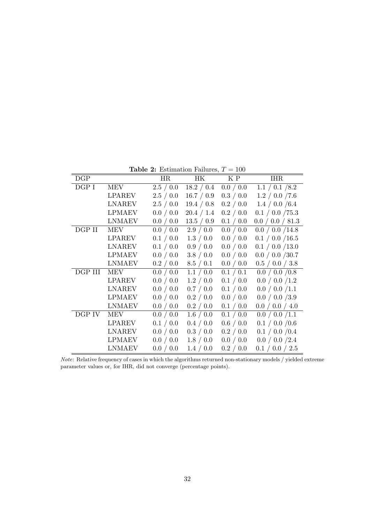| DGP     |               | HR        | HК         | K P                     | <b>IHR</b>       |
|---------|---------------|-----------|------------|-------------------------|------------------|
| DGP I   | MEV           | 2.5 / 0.0 | 18.2 / 0.4 | $\frac{0.0}{0.0}$ / 0.0 | 1.1 / 0.1 / 8.2  |
|         | <b>LPAREV</b> | 2.5 / 0.0 | 16.7 / 0.9 | 0.3 / 0.0               | 1.2 / 0.0 / 7.6  |
|         | <b>LNAREV</b> | 2.5 / 0.0 | 19.4 / 0.8 | 0.2 / 0.0               | 1.4 / 0.0 / 6.4  |
|         | <b>LPMAEV</b> | 0.0 / 0.0 | 20.4 / 1.4 | 0.2 / 0.0               | 0.1 / 0.0 / 75.3 |
|         | <b>LNMAEV</b> | 0.0 / 0.0 | 13.5 / 0.9 | 0.1 / 0.0               | 0.0 / 0.0 / 81.3 |
| DGP II  | MEV           | 0.0 / 0.0 | 2.9 / 0.0  | 0.0 / 0.0               | 0.0 / 0.0 / 14.8 |
|         | <b>LPAREV</b> | 0.1 / 0.0 | 1.3 / 0.0  | 0.0 / 0.0               | 0.1 / 0.0 / 16.5 |
|         | <b>LNAREV</b> | 0.1 / 0.0 | 0.9 / 0.0  | 0.0 / 0.0               | 0.1 / 0.0 / 13.0 |
|         | <b>LPMAEV</b> | 0.0 / 0.0 | 3.8 / 0.0  | 0.0 / 0.0               | 0.0 / 0.0 / 30.7 |
|         | <b>LNMAEV</b> | 0.2 / 0.0 | 8.5 / 0.1  | 0.0 / 0.0               | 0.5 / 0.0 / 3.8  |
| DGP III | MEV           | 0.0 / 0.0 | 1.1 / 0.0  | 0.1 / 0.1               | 0.0 / 0.0 / 0.8  |
|         | <b>LPAREV</b> | 0.0 / 0.0 | 1.2 / 0.0  | 0.1 / 0.0               | 0.0 / 0.0 / 1.2  |
|         | <b>LNAREV</b> | 0.0 / 0.0 | 0.7 / 0.0  | 0.1 / 0.0               | 0.0 / 0.0 / 1.1  |
|         | <b>LPMAEV</b> | 0.0 / 0.0 | 0.2 / 0.0  | 0.0 / 0.0               | 0.0 / 0.0 / 3.9  |
|         | <b>LNMAEV</b> | 0.0 / 0.0 | 0.2 / 0.0  | 0.1 / 0.0               | 0.0 / 0.0 / 4.0  |
| DGP IV  | MEV           | 0.0 / 0.0 | 1.6 / 0.0  | 0.1 / 0.0               | 0.0 / 0.0 / 1.1  |
|         | <b>LPAREV</b> | 0.1 / 0.0 | 0.4 / 0.0  | 0.6 / 0.0               | 0.1 / 0.0 / 0.6  |
|         | <b>LNAREV</b> | 0.0 / 0.0 | 0.3 / 0.0  | 0.2 / 0.0               | 0.1 / 0.0 / 0.4  |
|         | <b>LPMAEV</b> | 0.0 / 0.0 | 1.8 / 0.0  | 0.0 / 0.0               | 0.0 / 0.0 / 2.4  |
|         | <b>LNMAEV</b> | 0.0 / 0.0 | 1.4 / 0.0  | 0.2 / 0.0               | 0.1 / 0.0 / 2.5  |

**Table 2:** Estimation Failures,  $T = 100$ 

*Note*: Relative frequency of cases in which the algorithms returned non-stationary models / yielded extreme parameter values or, for IHR, did not converge (percentage points).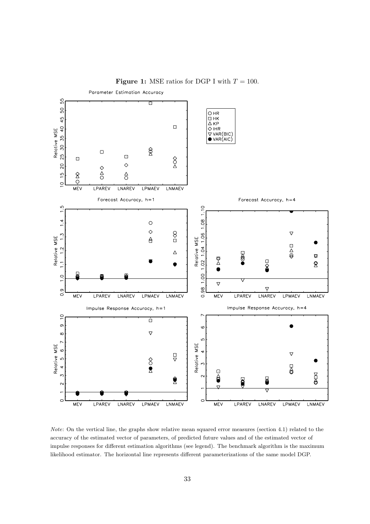

**Figure 1:** MSE ratios for DGP I with  $T = 100$ .

*Note*: On the vertical line, the graphs show relative mean squared error measures (section 4.1) related to the accuracy of the estimated vector of parameters, of predicted future values and of the estimated vector of impulse responses for different estimation algorithms (see legend). The benchmark algorithm is the maximum likelihood estimator. The horizontal line represents different parameterizations of the same model DGP.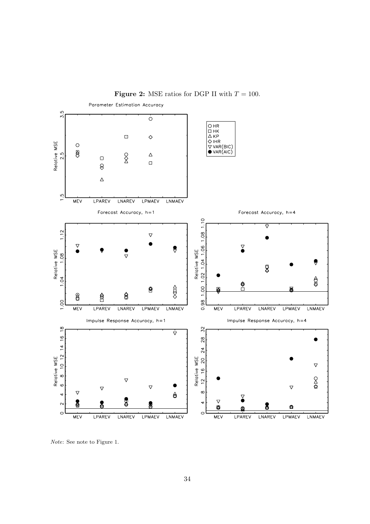

**Figure 2:** MSE ratios for DGP II with  $T = 100$ .

*Note*: See note to Figure 1.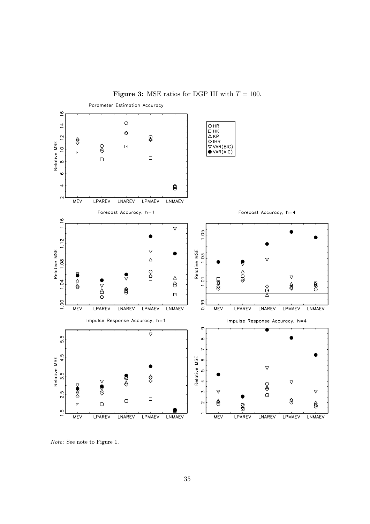

**Figure 3:** MSE ratios for DGP III with  $T = 100$ .

*Note*: See note to Figure 1.